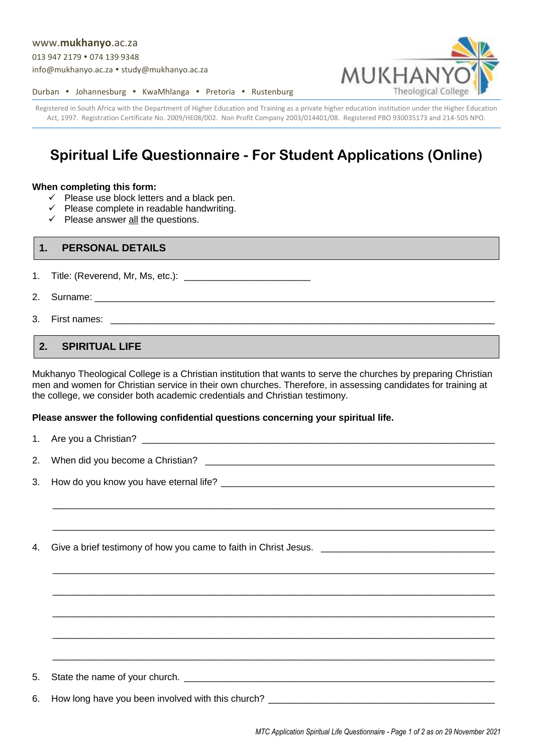#### www.**[mukhanyo](http://www.mukhanyo.ac.za/)**.ac.za

013 947 2179 • 074 139 9348

[info@mukhanyo.ac.za](mailto:info@mukhanyo.ac.za) · [study@mukhanyo.ac.za](mailto:study@mukhanyo.ac.za)



Durban • Johannesburg • KwaMhlanga • Pretoria • Rustenburg

Registered in South Africa with the Department of Higher Education and Training as a private higher education institution under the Higher Education Act, 1997. Registration Certificate No. 2009/HE08/002. Non Profit Company 2003/014401/08. Registered PBO 930035173 and 214-505 NPO.

# **Spiritual Life Questionnaire - For Student Applications (Online)**

#### **When completing this form:**

- $\checkmark$  Please use block letters and a black pen.
- $\checkmark$  Please complete in readable handwriting.
- $\checkmark$  Please answer <u>all</u> the questions.

## **1. PERSONAL DETAILS**

1. Title: (Reverend, Mr, Ms, etc.): \_\_\_\_\_\_\_\_\_\_\_\_\_\_\_\_\_\_\_\_\_\_\_\_

- 2. Surname: \_\_\_\_\_\_\_\_\_\_\_\_\_\_\_\_\_\_\_\_\_\_\_\_\_\_\_\_\_\_\_\_\_\_\_\_\_\_\_\_\_\_\_\_\_\_\_\_\_\_\_\_\_\_\_\_\_\_\_\_\_\_\_\_\_\_\_\_\_\_\_\_\_\_\_\_
- 3. First names:

## **2. SPIRITUAL LIFE**

Mukhanyo Theological College is a Christian institution that wants to serve the churches by preparing Christian men and women for Christian service in their own churches. Therefore, in assessing candidates for training at the college, we consider both academic credentials and Christian testimony.

### **Please answer the following confidential questions concerning your spiritual life.**

| ,我们就会在这里的,我们就会在这里的时候,我们就会在这里,我们就会在这里的时候,我们就会在这里,我们就会在这里的时候,我们就会在这里的时候,我们就会在这里,我们 |
|----------------------------------------------------------------------------------|
|                                                                                  |
|                                                                                  |
|                                                                                  |
|                                                                                  |
|                                                                                  |
|                                                                                  |
|                                                                                  |